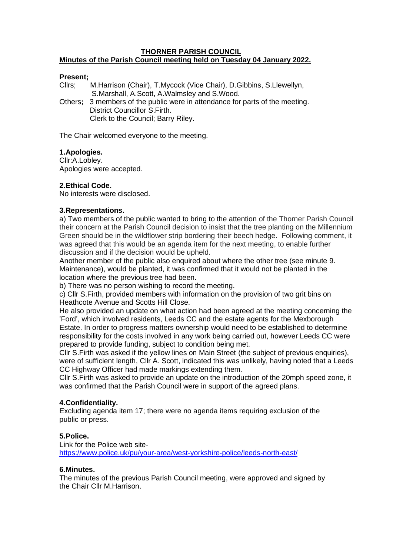### **THORNER PARISH COUNCIL Minutes of the Parish Council meeting held on Tuesday 04 January 2022.**

# **Present;**

Cllrs; M.Harrison (Chair), T.Mycock (Vice Chair), D.Gibbins, S.Llewellyn, S.Marshall, A.Scott, A.Walmsley and S.Wood.

Others**;** 3 members of the public were in attendance for parts of the meeting. District Councillor S.Firth. Clerk to the Council; Barry Riley.

The Chair welcomed everyone to the meeting.

## **1.Apologies.**

Cllr:A.Lobley. Apologies were accepted.

# **2.Ethical Code.**

No interests were disclosed.

## **3.Representations.**

a) Two members of the public wanted to bring to the attention of the Thorner Parish Council their concern at the Parish Council decision to insist that the tree planting on the Millennium Green should be in the wildflower strip bordering their beech hedge. Following comment, it was agreed that this would be an agenda item for the next meeting, to enable further discussion and if the decision would be upheld.

Another member of the public also enquired about where the other tree (see minute 9. Maintenance), would be planted, it was confirmed that it would not be planted in the location where the previous tree had been.

b) There was no person wishing to record the meeting.

c) Cllr S.Firth, provided members with information on the provision of two grit bins on Heathcote Avenue and Scotts Hill Close.

He also provided an update on what action had been agreed at the meeting concerning the 'Ford', which involved residents, Leeds CC and the estate agents for the Mexborough Estate. In order to progress matters ownership would need to be established to determine responsibility for the costs involved in any work being carried out, however Leeds CC were prepared to provide funding, subject to condition being met.

Cllr S.Firth was asked if the yellow lines on Main Street (the subject of previous enquiries), were of sufficient length, Cllr A. Scott, indicated this was unlikely, having noted that a Leeds CC Highway Officer had made markings extending them.

Cllr S.Firth was asked to provide an update on the introduction of the 20mph speed zone, it was confirmed that the Parish Council were in support of the agreed plans.

## **4.Confidentiality.**

Excluding agenda item 17; there were no agenda items requiring exclusion of the public or press.

## **5.Police.**

Link for the Police web site<https://www.police.uk/pu/your-area/west-yorkshire-police/leeds-north-east/>

#### **6.Minutes.**

The minutes of the previous Parish Council meeting, were approved and signed by the Chair Cllr M.Harrison.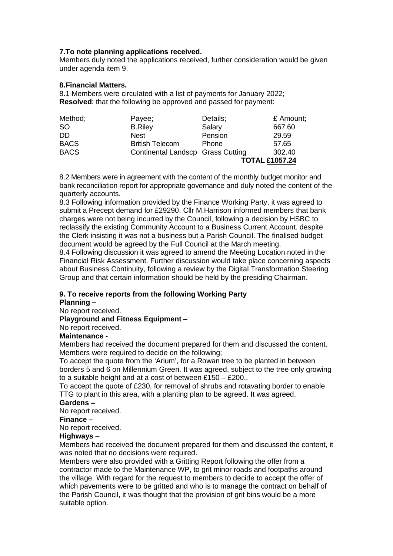### **7.To note planning applications received.**

Members duly noted the applications received, further consideration would be given under agenda item 9.

### **8.Financial Matters.**

8.1 Members were circulated with a list of payments for January 2022; **Resolved**: that the following be approved and passed for payment:

| Method;     | Payee;                            | Details;              | £ Amount; |
|-------------|-----------------------------------|-----------------------|-----------|
| <b>SO</b>   | <b>B.Riley</b>                    | Salary                | 667.60    |
| DD.         | <b>Nest</b>                       | Pension               | 29.59     |
| <b>BACS</b> | <b>British Telecom</b>            | Phone                 | 57.65     |
| <b>BACS</b> | Continental Landscp Grass Cutting |                       | 302.40    |
|             |                                   | <b>TOTAL £1057.24</b> |           |

8.2 Members were in agreement with the content of the monthly budget monitor and bank reconciliation report for appropriate governance and duly noted the content of the quarterly accounts.

8.3 Following information provided by the Finance Working Party, it was agreed to submit a Precept demand for £29290. Cllr M.Harrison informed members that bank charges were not being incurred by the Council, following a decision by HSBC to reclassify the existing Community Account to a Business Current Account. despite the Clerk insisting it was not a business but a Parish Council. The finalised budget document would be agreed by the Full Council at the March meeting.

8.4 Following discussion it was agreed to amend the Meeting Location noted in the Financial Risk Assessment. Further discussion would take place concerning aspects about Business Continuity, following a review by the Digital Transformation Steering Group and that certain information should be held by the presiding Chairman.

## **9. To receive reports from the following Working Party**

### **Planning –**

No report received.

#### **Playground and Fitness Equipment –**

No report received.

### **Maintenance -**

Members had received the document prepared for them and discussed the content. Members were required to decide on the following;

To accept the quote from the 'Arium', for a Rowan tree to be planted in between borders 5 and 6 on Millennium Green. It was agreed, subject to the tree only growing to a suitable height and at a cost of between £150 – £200..

To accept the quote of £230, for removal of shrubs and rotavating border to enable TTG to plant in this area, with a planting plan to be agreed. It was agreed.

## **Gardens –**

No report received.

#### **Finance –**

No report received.

### **Highways** –

Members had received the document prepared for them and discussed the content, it was noted that no decisions were required.

Members were also provided with a Gritting Report following the offer from a contractor made to the Maintenance WP, to grit minor roads and footpaths around the village. With regard for the request to members to decide to accept the offer of which pavements were to be gritted and who is to manage the contract on behalf of the Parish Council, it was thought that the provision of grit bins would be a more suitable option.